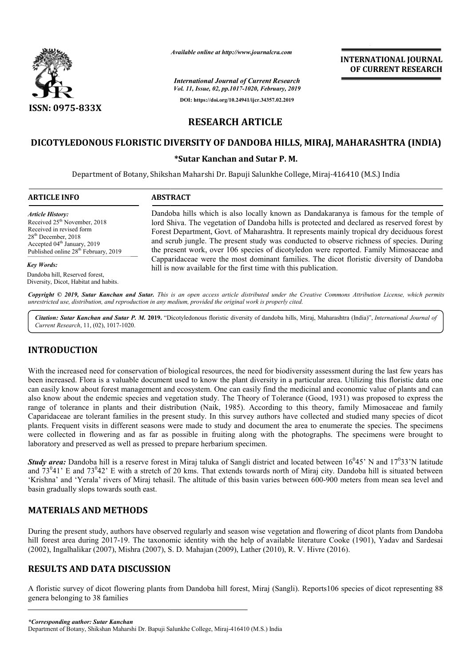

# **RESEARCH ARTICLE**

## **DICOTYLEDONOUS FLORISTIC DIVERSITY OF DANDOBA HILLS, MIRAJ, MAHARASHTRA (INDIA) OF DANDOBA HILLS, MIRAJ,**

#### **\*Sutar Kanchan and Sutar P. M.**

|                                                                                                                                                                                                                                   | Available online at http://www.journalcra.com                                                                                                                                                                                                                                                                                                                                                                                                                             | <b>INTERNATIONAL JOURNAL</b><br>OF CURRENT RESEARCH |
|-----------------------------------------------------------------------------------------------------------------------------------------------------------------------------------------------------------------------------------|---------------------------------------------------------------------------------------------------------------------------------------------------------------------------------------------------------------------------------------------------------------------------------------------------------------------------------------------------------------------------------------------------------------------------------------------------------------------------|-----------------------------------------------------|
|                                                                                                                                                                                                                                   | <b>International Journal of Current Research</b><br>Vol. 11, Issue, 02, pp.1017-1020, February, 2019                                                                                                                                                                                                                                                                                                                                                                      |                                                     |
| <b>ISSN: 0975-833X</b>                                                                                                                                                                                                            | DOI: https://doi.org/10.24941/ijcr.34357.02.2019                                                                                                                                                                                                                                                                                                                                                                                                                          |                                                     |
|                                                                                                                                                                                                                                   | <b>RESEARCH ARTICLE</b>                                                                                                                                                                                                                                                                                                                                                                                                                                                   |                                                     |
|                                                                                                                                                                                                                                   | DICOTYLEDONOUS FLORISTIC DIVERSITY OF DANDOBA HILLS, MIRAJ, MAHARASHTRA (INDIA)                                                                                                                                                                                                                                                                                                                                                                                           |                                                     |
|                                                                                                                                                                                                                                   | *Sutar Kanchan and Sutar P.M.                                                                                                                                                                                                                                                                                                                                                                                                                                             |                                                     |
|                                                                                                                                                                                                                                   | Department of Botany, Shikshan Maharshi Dr. Bapuji Salunkhe College, Miraj-416410 (M.S.) India                                                                                                                                                                                                                                                                                                                                                                            |                                                     |
| <b>ARTICLE INFO</b>                                                                                                                                                                                                               | <b>ABSTRACT</b>                                                                                                                                                                                                                                                                                                                                                                                                                                                           |                                                     |
| <b>Article History:</b><br>Received 25 <sup>th</sup> November, 2018<br>Received in revised form<br>28 <sup>th</sup> December, 2018<br>Accepted 04 <sup>th</sup> January, 2019<br>Published online 28 <sup>th</sup> February, 2019 | Dandoba hills which is also locally known as Dandakaranya is famous for the temple of<br>lord Shiva. The vegetation of Dandoba hills is protected and declared as reserved forest by<br>Forest Department, Govt. of Maharashtra. It represents mainly tropical dry deciduous forest<br>and scrub jungle. The present study was conducted to observe richness of species. During<br>the present work, over 106 species of dicotyledon were reported. Family Mimosaceae and |                                                     |
| <b>Key Words:</b>                                                                                                                                                                                                                 | Capparidaceae were the most dominant families. The dicot floristic diversity of Dandoba<br>hill is now available for the first time with this publication.                                                                                                                                                                                                                                                                                                                |                                                     |
| Dandoba hill, Reserved forest,<br>Diversity, Dicot, Habitat and habits.                                                                                                                                                           |                                                                                                                                                                                                                                                                                                                                                                                                                                                                           |                                                     |
|                                                                                                                                                                                                                                   | Copyright © 2019, Sutar Kanchan and Sutar. This is an open access article distributed under the Creative Commons Attribution License, which permits<br>unrestricted use, distribution, and reproduction in any medium, provided the original work is properly cited.                                                                                                                                                                                                      |                                                     |
|                                                                                                                                                                                                                                   | Citation: Sutar Kanchan and Sutar P. M. 2019. "Dicotyledonous floristic diversity of dandoba hills, Miraj, Maharashtra (India)", International Journal of                                                                                                                                                                                                                                                                                                                 |                                                     |

Citation: Sutar Kanchan and Sutar P. M. 2019. "Dicotyledonous floristic diversity of dandoba hills, Miraj, Maharashtra (India)", International Journal of *Current Research*, 11, (02), 1017-1020.

### **INTRODUCTION**

With the increased need for conservation of biological resources, the need for biodiversity assessment during the last few years has been increased. Flora is a valuable document used to know the plant diversity in a particular area. Utilizing this floristic data one can easily know about forest management and ecosystem. One can easily find the medicinal and economic value of plants and can can easily know about forest management and ecosystem. One can easily find the medicinal and economic value of plants and can<br>also know about the endemic species and vegetation study. The Theory of Tolerance (Good, 1931) w range of tolerance in plants and their distribution (Naik, 1985). According to this theory, family Mimosaceae and family range of tolerance in plants and their distribution (Naik, 1985). According to this theory, family Mimosaceae and family<br>Caparidaceae are tolerant families in the present study. In this survey authors have collected and st plants. Frequent visits in different seasons were made to study and document the area to enumerate the species. The specimens were collected in flowering and as far as possible in fruiting along with the photographs. The specimens were brought to laboratory and preserved as well as pressed to prepare herbarium specimen. plants. Frequent visits in different seasons were made to study and document the area to enumerate the species. The specimens were collected in flowering and as far as possible in fruiting along with the photographs. The

*Study area:* Dandoba hill is a reserve forest in Miraj taluka of Sangli district and located between 16 and  $73^041'$  E and  $73^042'$  E with a stretch of 20 kms. That 'Krishna' and 'Yerala' rivers of Miraj tehasil. The altitude of this basin varies between 600 600-900 meters from mean sea level and basin gradually slops towards south east. and 73<sup>0</sup>41' E and 73<sup>0</sup>42' E with a stretch of 20 kms. That extends towards north of Miraj city. Dandoba hill is situated between 'Krishna' and 'Yerala' rivers of Miraj tehasil. The altitude of this basin varies between 6

### **MATERIALS AND METHODS**

During the present study, authors have observed regularly and season wise vegetation and flowering of dicot plants from Dando hill forest area during 2017-19. The taxonomic identity with the help of available literature Cooke (1901), Yadav and Sardesai (2002), Ingalhalikar (2007), Mishra (2007), S. D. Mahajan (2009), Lather (2010), R. V. Hivre (2016).

## **RESULTS AND DATA DISCUSSION**

(2002), Ingalhalikar (2007), Mishra (2007), S. D. Mahajan (2009), Lather (2010), R. V. Hivre (2016).<br>RESULTS AND DATA DISCUSSION<br>A floristic survey of dicot flowering plants from Dandoba hill forest, Miraj (Sangli). Report genera belonging to 38 families 19. The taxonomic identity with the help of avail<br>Mishra (2007), S. D. Mahajan (2009), Lather (2010<br>**DISCUSSION**<br>owering plants from Dandoba hill forest, Miraj (Santism)<br>is allows that the summer of the set of the set of t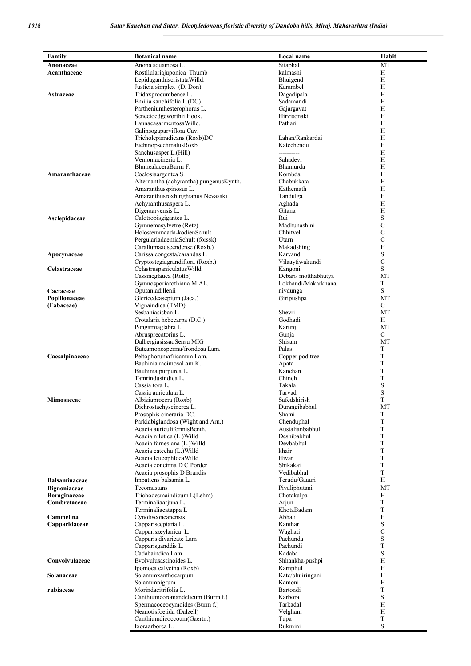| Family               | <b>Botanical name</b>                                | Local name                 | Habit                        |
|----------------------|------------------------------------------------------|----------------------------|------------------------------|
| Anonaceae            | Anona squamosa L.                                    | Sitaphal                   | MT                           |
| Acanthaceae          | Rostllulariajuponica Thumb                           | kalmashi                   | Η                            |
|                      | LepidaganthiscristataWilld.                          | Bhuigend                   | H                            |
|                      | Justicia simplex (D. Don)                            | Karambel                   | Η                            |
| Astraceae            | Tridaxprocumbense L.                                 | Dagadipala                 | Η                            |
|                      | Emilia sanchifolia L.(DC)                            | Sadamandi                  | Н                            |
|                      | Partheniumhesterophorus L.                           | Gajargavat                 | Η                            |
|                      | Senecioedgeworthii Hook.                             | Hirvisonaki                | H                            |
|                      | LaunaeasarmentosaWilld.                              | Pathari                    | H                            |
|                      | Galinsogaparviflora Cav.                             |                            | H                            |
|                      | Tricholepisradicans (Roxb)DC                         | Lahan/Rankardai            | H                            |
|                      | EichinopsechinatusRoxb                               | Katechendu                 | H                            |
|                      | Sanchusasper L.(Hill)                                | ----------                 | H                            |
|                      | Vemoniacineria L.                                    | Sahadevi                   | Η                            |
|                      | BlumealaceraBurm F.                                  | Bhamurda                   | Η                            |
| Amaranthaceae        | Coelosiaargentea S.                                  | Kombda                     | H                            |
|                      | Alternantha (achyrantha) pungenusKynth.              | Chabukkata                 | H                            |
|                      | Amaranthusspinosus L.                                | Kathemath                  | H                            |
|                      | Amaranthusroxburghianus Nevasaki                     |                            | Η                            |
|                      |                                                      | Tandulga                   | H                            |
|                      | Achyranthusaspera L.<br>Digeraarvensis L.            | Aghada                     | Η                            |
|                      |                                                      | Gitana<br>Rui              | S                            |
| Asclepidaceae        | Calotropisgigantea L.                                | Madhunashini               |                              |
|                      | Gymnemasylvetre (Retz)                               | Chhitvel                   | $\mathbf C$<br>$\mathcal{C}$ |
|                      | Holostemmaada-kodienSchult                           |                            | $\mathbf C$                  |
|                      | PergulariadaemiaSchult (forssk)                      | Utarn                      |                              |
|                      | Carallumaadscendense (Roxb.)                         | Makadshing<br>Karvand      | H<br>S                       |
| Apocynaceae          | Carissa congesta/carandas L.                         |                            |                              |
|                      | Cryptostegiagrandiflora (Roxb.)                      | Vilaaytiwakundi            | $\mathbf C$<br>S             |
| Celastraceae         | CelastruspaniculatusWilld.                           | Kangoni                    |                              |
|                      | Cassineglauca (Rottb)                                | Debari/motthabhutya        | MT                           |
|                      | Gymnosporiarothiana M.AL.                            | Lokhandi/Makarkhana.       | T<br>S                       |
| Cactaceae            | Oputaniadillenii                                     | nivdunga                   | MT                           |
| Popilionaceae        | Glericedeasepium (Jaca.)                             | Giripushpa                 | C                            |
| (Fabaceae)           | Vignaindica (TMD)<br>Sesbaniasisban L.               | Shevri                     |                              |
|                      |                                                      | Godhadi                    | MT<br>Н                      |
|                      | Crotalaria hebecarpa (D.C.)                          |                            | MT                           |
|                      | Pongamiaglabra L.<br>Abrusprecatorius L.             | Karunj                     | C                            |
|                      |                                                      | Gunja                      | MT                           |
|                      | DalbergiasissaoSensu MIG                             | Shisam<br>Palas            | T                            |
|                      | Buteamonosperma/frondosa Lam.                        |                            | T                            |
| Caesalpinaceae       | Peltophorumafricanum Lam.<br>Bauhinia racimosaLam.K. | Copper pod tree            | T                            |
|                      |                                                      | Apata<br>Kanchan           | T                            |
|                      | Bauhinia purpurea L.<br>Tamrindusindica L.           | Chinch                     | $\mathbf T$                  |
|                      | Cassia tora L.                                       | Takala                     | S                            |
|                      | Cassia auriculata L.                                 | Tarvad                     | $\mathbf S$                  |
| Mimosaceae           | Albiziaprocera (Roxb)                                | Safedshirish               | T                            |
|                      |                                                      | Durangibabhul              |                              |
|                      | Dichrostachyscinerea L.<br>Prosophis cineraria DC.   | Shami                      | MT<br>T                      |
|                      | Parkiabiglandosa (Wight and Arn.)                    | Chenduphal                 | T                            |
|                      | Acacia auriculiformisBenth.                          | Austalianbabhul            | T                            |
|                      | Acacia nilotica (L.) Willd                           | Deshibabhul                | T                            |
|                      | Acacia farnesiana (L.) Willd                         | Devbabhul                  | T                            |
|                      | Acacia catechu (L.) Willd                            | khair                      | T                            |
|                      | Acacia leucophloeaWilld                              | Hivar                      | T                            |
|                      | Acacia concinna D C Porder                           | Shikakai                   | T                            |
|                      | Acacia prosophis D Brandis                           | Vedibabhul                 | $\mathbf T$                  |
| <b>Balsaminaceae</b> | Impatiens balsamia L.                                | Terudu/Gaauri              | H                            |
| <b>Bignoniaceae</b>  | Tecomastans                                          | Pivaliphutani              | MT                           |
| <b>Boraginaceae</b>  | Trichodesmaindicum L(Lehm)                           | Chotakalpa                 | Η                            |
| Combretaceae         | Terminaliaarjuna L.                                  | Arjun                      | T                            |
|                      | Terminaliacatappa L                                  | KhotaBadam                 | T                            |
| Cammelina            | Cynotisconcanensis                                   | Abhali                     | H                            |
| Capparidaceae        | Cappariscepiaria L.                                  | Kanthar                    | S                            |
|                      | Cappariszeylanica L.                                 | Waghati                    | $\mathbf C$                  |
|                      | Capparis divaricate Lam                              | Pachunda                   | S                            |
|                      | Capparisganddis L.                                   | Pachundi                   | T                            |
|                      | Cadabaindica Lam                                     | Kadaba                     | S                            |
| Convolvulaceae       | Evolvulusastinoides L.                               | Shhankha-pushpi            | Η                            |
|                      |                                                      |                            | H                            |
| Solanaceae           | Ipomoea calycina (Roxb)                              | Karnphul                   | H                            |
|                      | Solanumxanthocarpum<br>Solanumnigrum                 | Kate/bhuiringani<br>Kamoni | H                            |
|                      | Morindacitrifolia L.                                 | Bartondi                   | T                            |
| rubiaceae            |                                                      | Karbora                    | S                            |
|                      | Canthiumcoromandelicum (Burm f.)                     |                            | Η                            |
|                      | Spermacoceocymoides (Burm f.)                        | Tarkadal                   |                              |
|                      | Neanotisfoetida (Dalzell)                            | Velghani                   | Η<br>$\mathbf T$             |
|                      | Canthiumdicoccoum (Gaertn.)<br>Ixoraarborea L.       | Tupa<br>Rukmini            | S                            |
|                      |                                                      |                            |                              |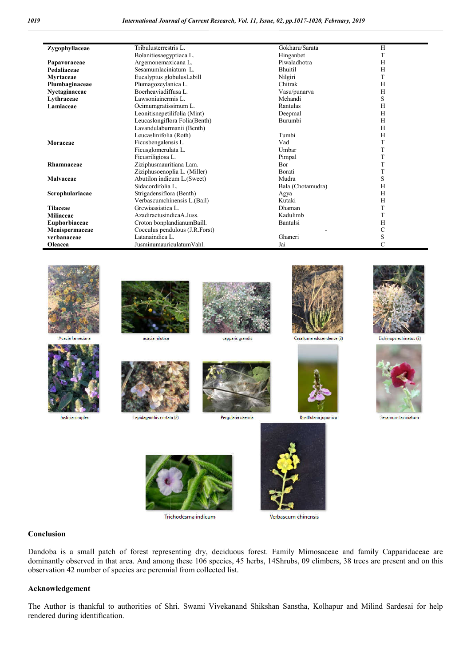| Zygophyllaceae    | Tribulusterrestris L.          |                   | Gokharu/Sarata            | H                       |
|-------------------|--------------------------------|-------------------|---------------------------|-------------------------|
|                   | Bolanitiesaegyptiaca L.        |                   | Hinganbet                 | $\mathbf T$             |
| Papavoraceae      | Argemonemaxicana L.            |                   | Piwaladhotra              | H                       |
| Pedaliaceae       | Sesamumlaciniatum L.           |                   | <b>Bhuitil</b>            | H                       |
|                   |                                |                   |                           |                         |
| Myrtaceae         | Eucalyptus globulusLabill      |                   | Nilgiri                   | T                       |
| Plumbaginaceae    | Plumagozeylanica L.            |                   | Chitrak                   | H                       |
| Nyctaginaceae     | Boerheaviadiffusa L.           |                   | Vasu/punarva              | H                       |
| Lythraceae        | Lawsoniainermis L.             |                   | Mehandi                   | S                       |
| Lamiaceae         | Ocimumgratissimum L.           |                   | Rantulas                  | H                       |
|                   | Leonitisnepetilifolia (Mint)   |                   | Deepmal                   | H                       |
|                   | Leucaslongiflora Folia(Benth)  |                   | Burumbi                   | H                       |
|                   | Lavandulaburmanii (Benth)      |                   |                           | H                       |
|                   |                                |                   |                           |                         |
|                   | Leucaslinifolia (Roth)         |                   | Tumbi                     | H                       |
| Moraceae          | Ficusbengalensis L.            |                   | Vad                       | T                       |
|                   | Ficusglomerulata L.            |                   | Umbar                     | $\mathbf T$             |
|                   | Ficusriligiosa L.              |                   | Pimpal                    | T                       |
| Rhamnaceae        | Ziziphusmauritiana Lam.        |                   | Bor                       | T                       |
|                   | Ziziphusoenoplia L. (Miller)   |                   | Borati                    | T                       |
| Malvaceae         |                                |                   |                           |                         |
|                   | Abutilon indicum L.(Sweet)     |                   | Mudra                     | S                       |
|                   | Sidacordifolia L.              |                   | Bala (Chotamudra)         | H                       |
| Scrophulariacae   | Strigadensiflora (Benth)       |                   | Agya                      | H                       |
|                   | Verbascumchinensis L.(Bail)    |                   | Kutaki                    | H                       |
| <b>Tilaceae</b>   | Grewiaasiatica L.              |                   | Dhaman                    | T                       |
| Miliaceae         | AzadiractusindicaA.Juss.       |                   | Kadulimb                  | T                       |
| Euphorbiaceae     | Croton bonplandianumBaill.     |                   | Bantulsi                  | H                       |
|                   | Cocculus pendulous (J.R.Forst) |                   |                           | $\mathsf{C}$            |
| Menispermaceae    |                                |                   |                           |                         |
| verbanaceae       | Latanaindica L.                |                   | Ghaneri                   | $\mathbf S$             |
| Oleacea           | JusminumauriculatumVahl.       |                   | Jai                       | $\mathcal{C}$           |
| Acacia farnesiana | acacia nilotica                | capparis grandis  | Caralluma adscendense (2) | Eichinops echinatus (2) |
| Justicia simplex  | Lepidaganthis cristata (2)     | Pergularia daemia | Rostllularia juponica     | Sesamum laciniatum      |
|                   | Trichodesma indicum            |                   | Verbascum chinensis       |                         |
|                   |                                |                   |                           |                         |







#### **Conclusion**

Dandoba is a small patch of forest representing dry, deciduous forest. Family Mimosaceae and family Capparidaceae are dominantly observed in that area. And among these 106 species, 45 herbs, 14Shrubs, 09 climbers, 38 trees are present and on this observation 42 number of species are perennial from collected list.

#### **Acknowledgement**

The Author is thankful to authorities of Shri. Swami Vivekanand Shikshan Sanstha, Kolhapur and Milind Sardesai for help rendered during identification.